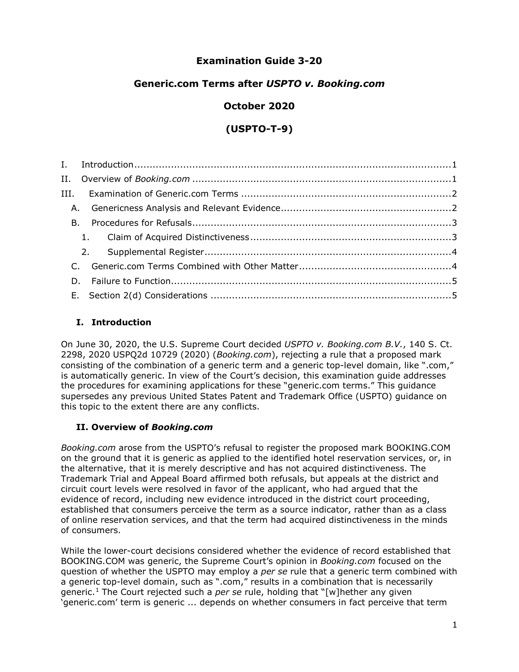# **Examination Guide 3-20**

# **Generic.com Terms after** *USPTO v. Booking.com*

# **October 2020**

# **(USPTO-T-9)**

# <span id="page-0-0"></span>**I. Introduction**

On June 30, 2020, the U.S. Supreme Court decided *USPTO v. Booking.com B.V.*, 140 S. Ct. 2298, 2020 USPQ2d 10729 (2020) (*Booking.com*), rejecting a rule that a proposed mark consisting of the combination of a generic term and a generic top-level domain, like ".com," is automatically generic. In view of the Court's decision, this examination guide addresses the procedures for examining applications for these "generic.com terms." This guidance supersedes any previous United States Patent and Trademark Office (USPTO) guidance on this topic to the extent there are any conflicts.

# <span id="page-0-1"></span>**II. Overview of** *Booking.com*

*Booking.com* arose from the USPTO's refusal to register the proposed mark BOOKING.COM on the ground that it is generic as applied to the identified hotel reservation services, or, in the alternative, that it is merely descriptive and has not acquired distinctiveness. The Trademark Trial and Appeal Board affirmed both refusals, but appeals at the district and circuit court levels were resolved in favor of the applicant, who had argued that the evidence of record, including new evidence introduced in the district court proceeding, established that consumers perceive the term as a source indicator, rather than as a class of online reservation services, and that the term had acquired distinctiveness in the minds of consumers.

While the lower-court decisions considered whether the evidence of record established that BOOKING.COM was generic, the Supreme Court's opinion in *Booking.com* focused on the question of whether the USPTO may employ a *per se* rule that a generic term combined with a generic top-level domain, such as ".com," results in a combination that is necessarily generic.[1](#page-4-2) The Court rejected such a *per se* rule, holding that "[w]hether any given 'generic.com' term is generic ... depends on whether consumers in fact perceive that term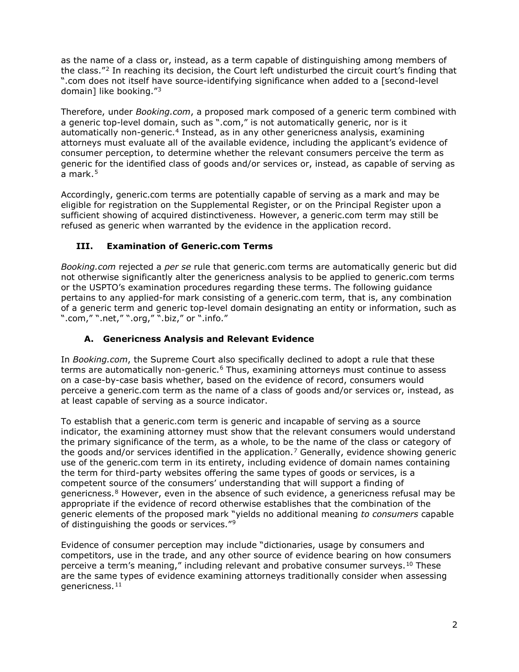as the name of a class or, instead, as a term capable of distinguishing among members of the class."[2](#page-4-3) In reaching its decision, the Court left undisturbed the circuit court's finding that ".com does not itself have source-identifying significance when added to a [second-level domain] like booking."[3](#page-4-4)

Therefore, under *Booking.com*, a proposed mark composed of a generic term combined with a generic top-level domain, such as ".com," is not automatically generic, nor is it automatically non-generic.<sup>[4](#page-4-5)</sup> Instead, as in any other genericness analysis, examining attorneys must evaluate all of the available evidence, including the applicant's evidence of consumer perception, to determine whether the relevant consumers perceive the term as generic for the identified class of goods and/or services or, instead, as capable of serving as a mark. $5$ 

Accordingly, generic.com terms are potentially capable of serving as a mark and may be eligible for registration on the Supplemental Register, or on the Principal Register upon a sufficient showing of acquired distinctiveness. However, a generic.com term may still be refused as generic when warranted by the evidence in the application record.

# <span id="page-1-0"></span>**III. Examination of Generic.com Terms**

*Booking.com* rejected a *per se* rule that generic.com terms are automatically generic but did not otherwise significantly alter the genericness analysis to be applied to generic.com terms or the USPTO's examination procedures regarding these terms. The following guidance pertains to any applied-for mark consisting of a generic.com term, that is, any combination of a generic term and generic top-level domain designating an entity or information, such as ".com," ".net," ".org," ".biz," or ".info."

#### **A. Genericness Analysis and Relevant Evidence**

<span id="page-1-1"></span>In *Booking.com*, the Supreme Court also specifically declined to adopt a rule that these terms are automatically non-generic.<sup>[6](#page-4-7)</sup> Thus, examining attorneys must continue to assess on a case-by-case basis whether, based on the evidence of record, consumers would perceive a generic.com term as the name of a class of goods and/or services or, instead, as at least capable of serving as a source indicator.

To establish that a generic.com term is generic and incapable of serving as a source indicator, the examining attorney must show that the relevant consumers would understand the primary significance of the term, as a whole, to be the name of the class or category of the goods and/or services identified in the application.<sup>[7](#page-4-8)</sup> Generally, evidence showing generic use of the generic.com term in its entirety, including evidence of domain names containing the term for third-party websites offering the same types of goods or services, is a competent source of the consumers' understanding that will support a finding of genericness.<sup>[8](#page-4-9)</sup> However, even in the absence of such evidence, a genericness refusal may be appropriate if the evidence of record otherwise establishes that the combination of the generic elements of the proposed mark "yields no additional meaning *to consumers* capable of distinguishing the goods or services."<sup>[9](#page-4-10)</sup>

Evidence of consumer perception may include "dictionaries, usage by consumers and competitors, use in the trade, and any other source of evidence bearing on how consumers perceive a term's meaning," including relevant and probative consumer surveys.<sup>[10](#page-4-11)</sup> These are the same types of evidence examining attorneys traditionally consider when assessing genericness.<sup>[11](#page-5-0)</sup>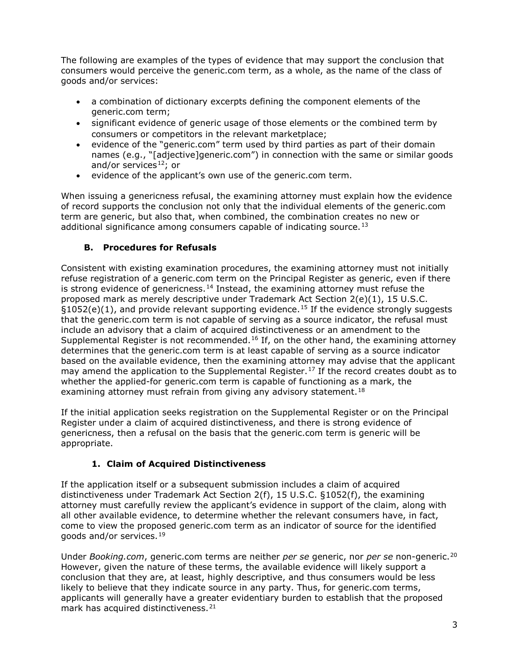The following are examples of the types of evidence that may support the conclusion that consumers would perceive the generic.com term, as a whole, as the name of the class of goods and/or services:

- a combination of dictionary excerpts defining the component elements of the generic.com term;
- significant evidence of generic usage of those elements or the combined term by consumers or competitors in the relevant marketplace;
- evidence of the "generic.com" term used by third parties as part of their domain names (e.g., "[adjective]generic.com") in connection with the same or similar goods and/or services $12$ ; or
- evidence of the applicant's own use of the generic.com term.

When issuing a genericness refusal, the examining attorney must explain how the evidence of record supports the conclusion not only that the individual elements of the generic.com term are generic, but also that, when combined, the combination creates no new or additional significance among consumers capable of indicating source.<sup>13</sup>

# **B. Procedures for Refusals**

<span id="page-2-0"></span>Consistent with existing examination procedures, the examining attorney must not initially refuse registration of a generic.com term on the Principal Register as generic, even if there is strong evidence of genericness.<sup>[14](#page-5-3)</sup> Instead, the examining attorney must refuse the proposed mark as merely descriptive under Trademark Act Section 2(e)(1), 15 U.S.C.  $§1052(e)(1)$ , and provide relevant supporting evidence.<sup>[15](#page-5-4)</sup> If the evidence strongly suggests that the generic.com term is not capable of serving as a source indicator, the refusal must include an advisory that a claim of acquired distinctiveness or an amendment to the Supplemental Register is not recommended.<sup>[16](#page-5-5)</sup> If, on the other hand, the examining attorney determines that the generic.com term is at least capable of serving as a source indicator based on the available evidence, then the examining attorney may advise that the applicant may amend the application to the Supplemental Register.<sup>[17](#page-5-6)</sup> If the record creates doubt as to whether the applied-for generic.com term is capable of functioning as a mark, the examining attorney must refrain from giving any advisory statement.<sup>18</sup>

If the initial application seeks registration on the Supplemental Register or on the Principal Register under a claim of acquired distinctiveness, and there is strong evidence of genericness, then a refusal on the basis that the generic.com term is generic will be appropriate.

# **1. Claim of Acquired Distinctiveness**

<span id="page-2-1"></span>If the application itself or a subsequent submission includes a claim of acquired distinctiveness under Trademark Act Section 2(f), 15 U.S.C. §1052(f), the examining attorney must carefully review the applicant's evidence in support of the claim, along with all other available evidence, to determine whether the relevant consumers have, in fact, come to view the proposed generic.com term as an indicator of source for the identified goods and/or services.[19](#page-5-8)

Under *Booking.com*, generic.com terms are neither *per se* generic, nor *per se* non-generic.[20](#page-5-9) However, given the nature of these terms, the available evidence will likely support a conclusion that they are, at least, highly descriptive, and thus consumers would be less likely to believe that they indicate source in any party. Thus, for generic.com terms, applicants will generally have a greater evidentiary burden to establish that the proposed mark has acquired distinctiveness.<sup>[21](#page-5-10)</sup>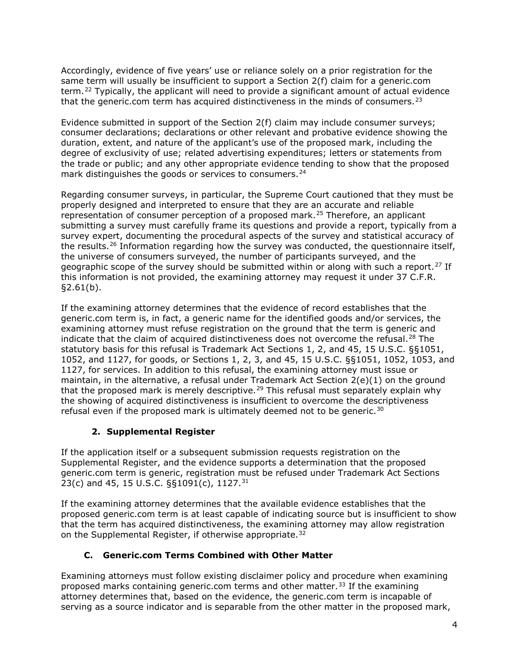Accordingly, evidence of five years' use or reliance solely on a prior registration for the same term will usually be insufficient to support a Section 2(f) claim for a generic.com term.[22](#page-5-11) Typically, the applicant will need to provide a significant amount of actual evidence that the generic.com term has acquired distinctiveness in the minds of consumers.<sup>[23](#page-5-12)</sup>

Evidence submitted in support of the Section 2(f) claim may include consumer surveys; consumer declarations; declarations or other relevant and probative evidence showing the duration, extent, and nature of the applicant's use of the proposed mark, including the degree of exclusivity of use; related advertising expenditures; letters or statements from the trade or public; and any other appropriate evidence tending to show that the proposed mark distinguishes the goods or services to consumers. $24$ 

Regarding consumer surveys, in particular, the Supreme Court cautioned that they must be properly designed and interpreted to ensure that they are an accurate and reliable representation of consumer perception of a proposed mark.<sup>[25](#page-5-14)</sup> Therefore, an applicant submitting a survey must carefully frame its questions and provide a report, typically from a survey expert, documenting the procedural aspects of the survey and statistical accuracy of the results.<sup>[26](#page-5-15)</sup> Information regarding how the survey was conducted, the questionnaire itself, the universe of consumers surveyed, the number of participants surveyed, and the geographic scope of the survey should be submitted within or along with such a report.<sup>[27](#page-5-16)</sup> If this information is not provided, the examining attorney may request it under 37 C.F.R.  $$2.61(b).$ 

If the examining attorney determines that the evidence of record establishes that the generic.com term is, in fact, a generic name for the identified goods and/or services, the examining attorney must refuse registration on the ground that the term is generic and indicate that the claim of acquired distinctiveness does not overcome the refusal.<sup>[28](#page-5-17)</sup> The statutory basis for this refusal is Trademark Act Sections 1, 2, and 45, 15 U.S.C. §§1051, 1052, and 1127, for goods, or Sections 1, 2, 3, and 45, 15 U.S.C. §§1051, 1052, 1053, and 1127, for services. In addition to this refusal, the examining attorney must issue or maintain, in the alternative, a refusal under Trademark Act Section 2(e)(1) on the ground that the proposed mark is merely descriptive.<sup>[29](#page-5-18)</sup> This refusal must separately explain why the showing of acquired distinctiveness is insufficient to overcome the descriptiveness refusal even if the proposed mark is ultimately deemed not to be generic.<sup>[30](#page-5-19)</sup>

# **2. Supplemental Register**

<span id="page-3-0"></span>If the application itself or a subsequent submission requests registration on the Supplemental Register, and the evidence supports a determination that the proposed generic.com term is generic, registration must be refused under Trademark Act Sections 23(c) and 45, 15 U.S.C. §§1091(c), 1127.<sup>[31](#page-5-20)</sup>

If the examining attorney determines that the available evidence establishes that the proposed generic.com term is at least capable of indicating source but is insufficient to show that the term has acquired distinctiveness, the examining attorney may allow registration on the Supplemental Register, if otherwise appropriate.<sup>[32](#page-5-21)</sup>

# **C. Generic.com Terms Combined with Other Matter**

<span id="page-3-1"></span>Examining attorneys must follow existing disclaimer policy and procedure when examining proposed marks containing generic.com terms and other matter.<sup>[33](#page-5-22)</sup> If the examining attorney determines that, based on the evidence, the generic.com term is incapable of serving as a source indicator and is separable from the other matter in the proposed mark,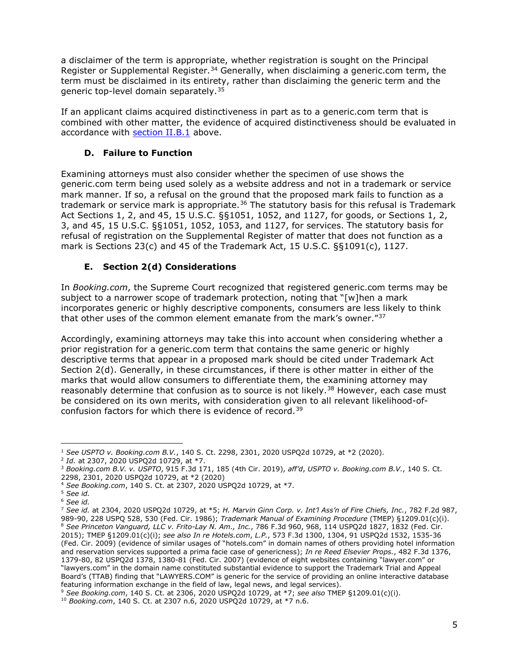a disclaimer of the term is appropriate, whether registration is sought on the Principal Register or Supplemental Register.<sup>[34](#page-5-23)</sup> Generally, when disclaiming a generic.com term, the term must be disclaimed in its entirety, rather than disclaiming the generic term and the generic top-level domain separately.<sup>[35](#page-5-24)</sup>

If an applicant claims acquired distinctiveness in part as to a generic.com term that is combined with other matter, the evidence of acquired distinctiveness should be evaluated in accordance with [section II.B.1](#page-2-1) above.

#### **D. Failure to Function**

<span id="page-4-0"></span>Examining attorneys must also consider whether the specimen of use shows the generic.com term being used solely as a website address and not in a trademark or service mark manner. If so, a refusal on the ground that the proposed mark fails to function as a trademark or service mark is appropriate.<sup>[36](#page-5-25)</sup> The statutory basis for this refusal is Trademark Act Sections 1, 2, and 45, 15 U.S.C. §§1051, 1052, and 1127, for goods, or Sections 1, 2, 3, and 45, 15 U.S.C. §§1051, 1052, 1053, and 1127, for services. The statutory basis for refusal of registration on the Supplemental Register of matter that does not function as a mark is Sections 23(c) and 45 of the Trademark Act, 15 U.S.C. §§1091(c), 1127.

#### **E. Section 2(d) Considerations**

<span id="page-4-1"></span>In *Booking.com*, the Supreme Court recognized that registered generic.com terms may be subject to a narrower scope of trademark protection, noting that "[w]hen a mark incorporates generic or highly descriptive components, consumers are less likely to think that other uses of the common element emanate from the mark's owner."[37](#page-5-26)

Accordingly, examining attorneys may take this into account when considering whether a prior registration for a generic.com term that contains the same generic or highly descriptive terms that appear in a proposed mark should be cited under Trademark Act Section 2(d). Generally, in these circumstances, if there is other matter in either of the marks that would allow consumers to differentiate them, the examining attorney may reasonably determine that confusion as to source is not likely.<sup>[38](#page-5-27)</sup> However, each case must be considered on its own merits, with consideration given to all relevant likelihood-ofconfusion factors for which there is evidence of record.[39](#page-5-28)

<span id="page-4-2"></span><sup>1</sup> *See USPTO v. Booking.com B.V.*, 140 S. Ct. 2298, 2301, 2020 USPQ2d 10729, at \*2 (2020). 2 *Id.* at 2307, 2020 USPQ2d 10729, at \*7.  $\overline{a}$ 

<span id="page-4-3"></span>

<span id="page-4-4"></span><sup>3</sup> *Booking.com B.V. v. USPTO*, 915 F.3d 171, 185 (4th Cir. 2019), *aff'd*, *USPTO v. Booking.com B.V.*, 140 S. Ct. 2298, 2301, 2020 USPQ2d 10729, at \*2 (2020)

<span id="page-4-5"></span><sup>4</sup> *See Booking.com*, 140 S. Ct. at 2307, 2020 USPQ2d 10729, at \*7.

<sup>5</sup> *See id.*

<span id="page-4-7"></span><span id="page-4-6"></span><sup>6</sup> *See id.*

<span id="page-4-9"></span><span id="page-4-8"></span><sup>7</sup> *See id.* at 2304, 2020 USPQ2d 10729, at \*5; *H. Marvin Ginn Corp. v. Int'l Ass'n of Fire Chiefs, Inc.*, 782 F.2d 987, 989-90, 228 USPQ 528, 530 (Fed. Cir. 1986); *Trademark Manual of Examining Procedure* (TMEP) §1209.01(c)(i). <sup>8</sup> See Princeton Vanguard, LLC v. Frito-Lay N. Am., Inc., 786 F.3d 960, 968, 114 USPQ2d 1827, 1832 (Fed. Cir. 2015); TMEP §1209.01(c)(i); *see also In re Hotels.com*, *L.P.*, 573 F.3d 1300, 1304, 91 USPQ2d 1532, 1535-36 (Fed. Cir. 2009) (evidence of similar usages of "hotels.com" in domain names of others providing hotel information and reservation services supported a prima facie case of genericness); *In re Reed Elsevier Props.*, 482 F.3d 1376, 1379-80, 82 USPQ2d 1378, 1380-81 (Fed. Cir. 2007) (evidence of eight websites containing "lawyer.com" or "lawyers.com" in the domain name constituted substantial evidence to support the Trademark Trial and Appeal Board's (TTAB) finding that "LAWYERS.COM" is generic for the service of providing an online interactive database featuring information exchange in the field of law, legal news, and legal services).

<span id="page-4-11"></span><span id="page-4-10"></span><sup>9</sup> *See Booking.com*, 140 S. Ct. at 2306, 2020 USPQ2d 10729, at \*7; *see also* TMEP §1209.01(c)(i). 10 *Booking.com*, 140 S. Ct. at 2307 n.6, 2020 USPQ2d 10729, at \*7 n.6.